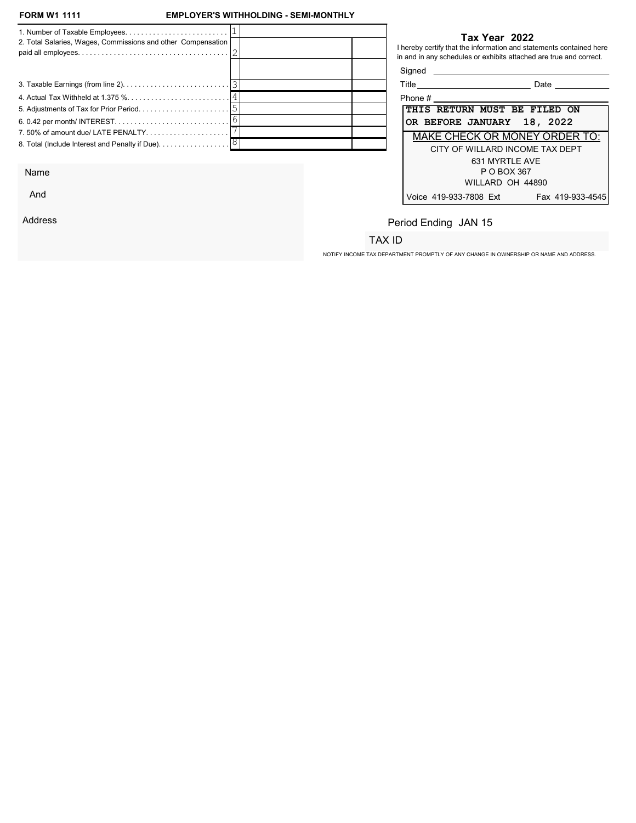And

Address

## EMPLOYER'S WITHHOLDING - SEMI-MONTHLY

| 2. Total Salaries, Wages, Commissions and other Compensation                         |  |            | Tax Year 2022<br>I hereby certify that the information and statements contained here<br>in and in any schedules or exhibits attached are true and correct. |
|--------------------------------------------------------------------------------------|--|------------|------------------------------------------------------------------------------------------------------------------------------------------------------------|
|                                                                                      |  | Signed     |                                                                                                                                                            |
|                                                                                      |  |            | Date                                                                                                                                                       |
|                                                                                      |  | Phone $\#$ |                                                                                                                                                            |
|                                                                                      |  |            | THIS RETURN MUST BE FILED ON                                                                                                                               |
|                                                                                      |  |            | OR BEFORE JANUARY 18, 2022                                                                                                                                 |
| 7.50% of amount due/ LATE PENALTY                                                    |  |            | <b>MAKE CHECK OR MONEY ORDER TO:</b>                                                                                                                       |
| 8. Total (Include Interest and Penalty if Due). $\ldots \ldots \ldots \ldots \,  8 $ |  |            | CITY OF WILLARD INCOME TAX DEPT                                                                                                                            |
|                                                                                      |  |            | 631 MYRTLE AVE                                                                                                                                             |
| Name                                                                                 |  |            | P O BOX 367                                                                                                                                                |

| Title                                | Date             |
|--------------------------------------|------------------|
| Phone #                              |                  |
| <b>THIS RETURN MUST BE FILED ON</b>  |                  |
| OR BEFORE JANUARY 18, 2022           |                  |
| <b>MAKE CHECK OR MONEY ORDER TO:</b> |                  |
| CITY OF WILLARD INCOME TAX DEPT      |                  |
| 631 MYRTI F AVF                      |                  |
| P O BOX 367                          |                  |
| WILLARD OH 44890                     |                  |
| Voice 419-933-7808 Ext               | Fax 419-933-4545 |

# Period Ending JAN 15

# TAX ID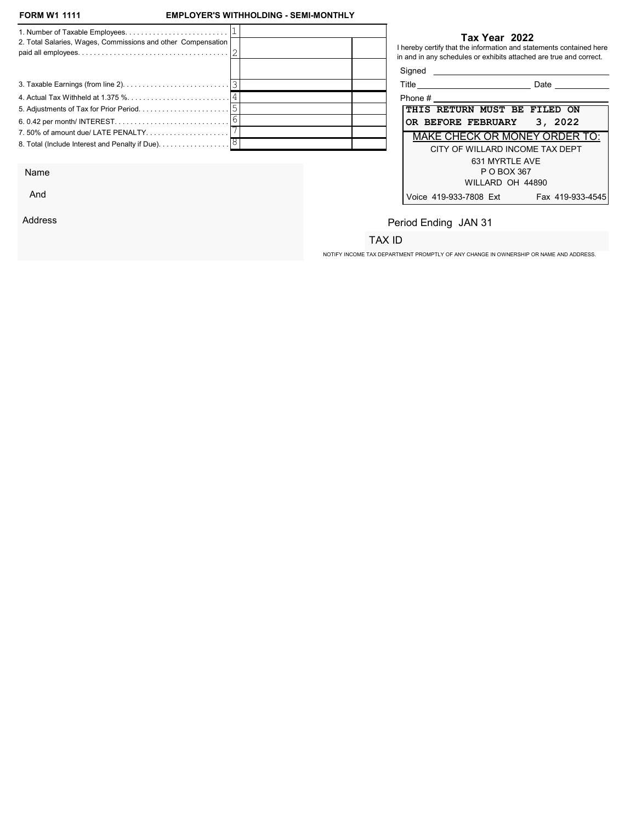And

Address

## EMPLOYER'S WITHHOLDING - SEMI-MONTHLY

| 2. Total Salaries, Wages, Commissions and other Compensation                         |  |                                    | Tax Year 2022<br>I hereby certify that the information and statements contained here<br>in and in any schedules or exhibits attached are true and correct. |
|--------------------------------------------------------------------------------------|--|------------------------------------|------------------------------------------------------------------------------------------------------------------------------------------------------------|
|                                                                                      |  | Signed                             |                                                                                                                                                            |
|                                                                                      |  | Title ____________________________ | Date                                                                                                                                                       |
|                                                                                      |  | Phone $\#$                         |                                                                                                                                                            |
|                                                                                      |  |                                    | THIS RETURN MUST BE FILED ON                                                                                                                               |
|                                                                                      |  |                                    | 3, 2022<br>OR BEFORE FEBRUARY                                                                                                                              |
| 7.50% of amount due/ LATE PENALTY                                                    |  |                                    | <b>MAKE CHECK OR MONEY ORDER TO:</b>                                                                                                                       |
| 8. Total (Include Interest and Penalty if Due). $\ldots \ldots \ldots \ldots \,  8 $ |  |                                    | CITY OF WILLARD INCOME TAX DEPT                                                                                                                            |
|                                                                                      |  |                                    | 631 MYRTLE AVE                                                                                                                                             |
| Name                                                                                 |  |                                    | P O BOX 367                                                                                                                                                |

| Title                        |                                 | Date                                 |
|------------------------------|---------------------------------|--------------------------------------|
| Phone #                      |                                 |                                      |
| THIS RETURN MUST BE FILED ON |                                 |                                      |
|                              | OR BEFORE FEBRUARY 3, 2022      |                                      |
|                              |                                 | <b>MAKE CHECK OR MONEY ORDER TO:</b> |
|                              | CITY OF WILLARD INCOME TAX DEPT |                                      |
|                              | 631 MYRTI F AVF                 |                                      |
|                              | P O BOX 367                     |                                      |
|                              | WILLARD OH 44890                |                                      |
| Voice 419-933-7808 Ext       |                                 | Fax 419-933-4545                     |

# Period Ending JAN 31

# TAX ID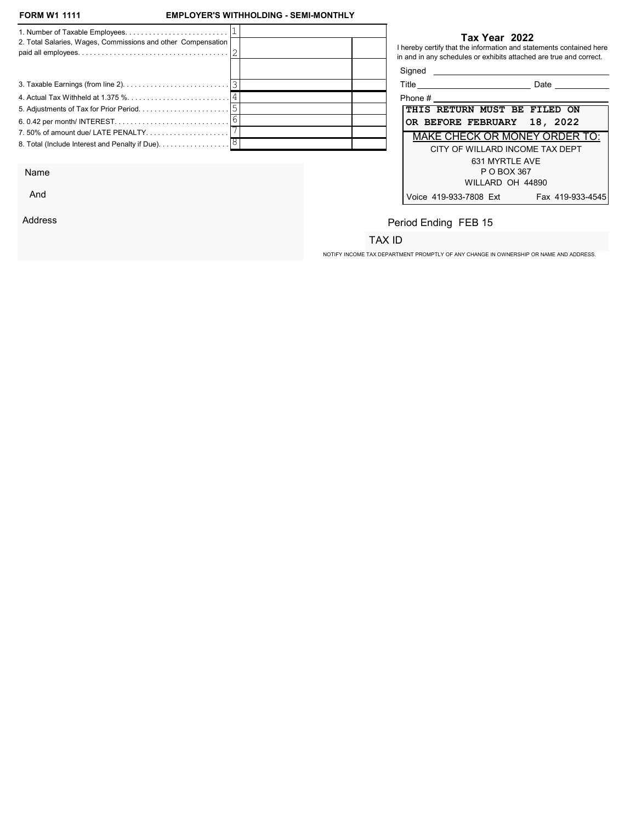And

Address

## EMPLOYER'S WITHHOLDING - SEMI-MONTHLY

| 2. Total Salaries, Wages, Commissions and other Compensation                         |  |            | Tax Year 2022<br>I hereby certify that the information and statements contained here<br>in and in any schedules or exhibits attached are true and correct. |
|--------------------------------------------------------------------------------------|--|------------|------------------------------------------------------------------------------------------------------------------------------------------------------------|
|                                                                                      |  | Signed     |                                                                                                                                                            |
|                                                                                      |  |            | Date                                                                                                                                                       |
|                                                                                      |  | Phone $\#$ |                                                                                                                                                            |
|                                                                                      |  |            | THIS RETURN MUST BE FILED ON                                                                                                                               |
|                                                                                      |  |            | OR BEFORE FEBRUARY 18, 2022                                                                                                                                |
| 7.50% of amount due/ LATE PENALTY                                                    |  |            | <b>MAKE CHECK OR MONEY ORDER TO:</b>                                                                                                                       |
| 8. Total (Include Interest and Penalty if Due). $\ldots \ldots \ldots \ldots \,  8 $ |  |            | CITY OF WILLARD INCOME TAX DEPT                                                                                                                            |
|                                                                                      |  |            | 631 MYRTLE AVE                                                                                                                                             |
| Name                                                                                 |  |            | P O BOX 367                                                                                                                                                |

| Title                        |                                 | Date                                 |
|------------------------------|---------------------------------|--------------------------------------|
| Phone #                      |                                 |                                      |
| THIS RETURN MUST BE FILED ON |                                 |                                      |
| OR BEFORE FEBRUARY 18, 2022  |                                 |                                      |
|                              |                                 | <b>MAKE CHECK OR MONEY ORDER TO:</b> |
|                              | CITY OF WILLARD INCOME TAX DEPT |                                      |
|                              | 631 MYRTI F AVF                 |                                      |
|                              | P O BOX 367                     |                                      |
|                              | WILLARD OH 44890                |                                      |
| Voice 419-933-7808 Ext       |                                 | Fax 419-933-4545                     |

# Period Ending FEB 15

# TAX ID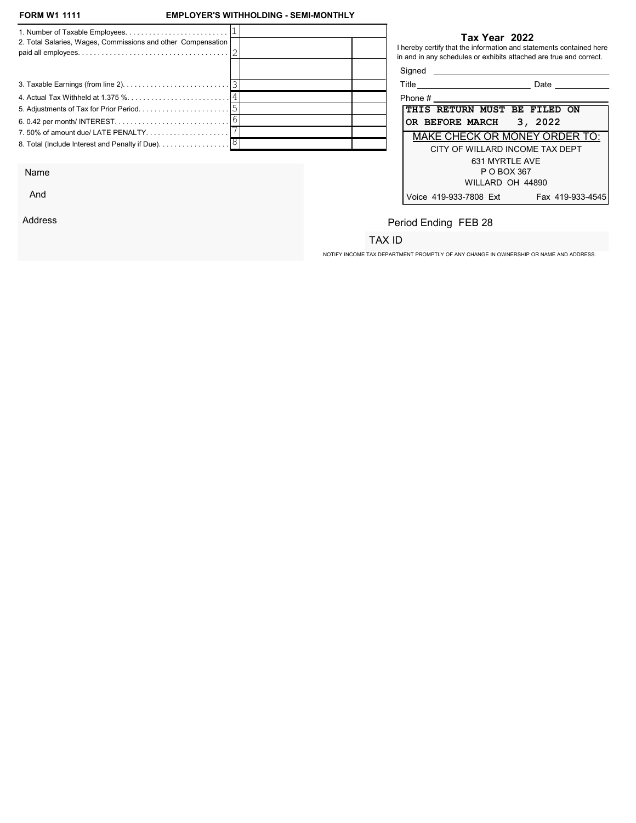And

Address

## EMPLOYER'S WITHHOLDING - SEMI-MONTHLY

| 2. Total Salaries, Wages, Commissions and other Compensation |  |                              | Tax Year 2022<br>I hereby certify that the information and statements contained here<br>in and in any schedules or exhibits attached are true and correct. |
|--------------------------------------------------------------|--|------------------------------|------------------------------------------------------------------------------------------------------------------------------------------------------------|
|                                                              |  | Signed                       |                                                                                                                                                            |
|                                                              |  |                              | Date                                                                                                                                                       |
|                                                              |  | Phone $#$                    |                                                                                                                                                            |
|                                                              |  | THIS RETURN MUST BE FILED ON |                                                                                                                                                            |
|                                                              |  | OR BEFORE MARCH 3, 2022      |                                                                                                                                                            |
| 7.50% of amount due/ LATE PENALTY                            |  |                              | <b>MAKE CHECK OR MONEY ORDER TO:</b>                                                                                                                       |
|                                                              |  |                              | CITY OF WILLARD INCOME TAX DEPT                                                                                                                            |
|                                                              |  |                              | 631 MYRTLE AVE                                                                                                                                             |
| Name                                                         |  |                              | P O BOX 367                                                                                                                                                |

| Title                                | Date             |
|--------------------------------------|------------------|
| Phone #                              |                  |
| <b>THIS RETURN MUST BE FILED ON</b>  |                  |
| OR BEFORE MARCH 3, 2022              |                  |
| <b>MAKE CHECK OR MONEY ORDER TO:</b> |                  |
| CITY OF WILLARD INCOME TAX DEPT      |                  |
| 631 MYRTI F AVF                      |                  |
| P O BOX 367                          |                  |
| WILLARD OH 44890                     |                  |
| Voice 419-933-7808 Ext               | Fax 419-933-4545 |

# Period Ending FEB 28

## TAX ID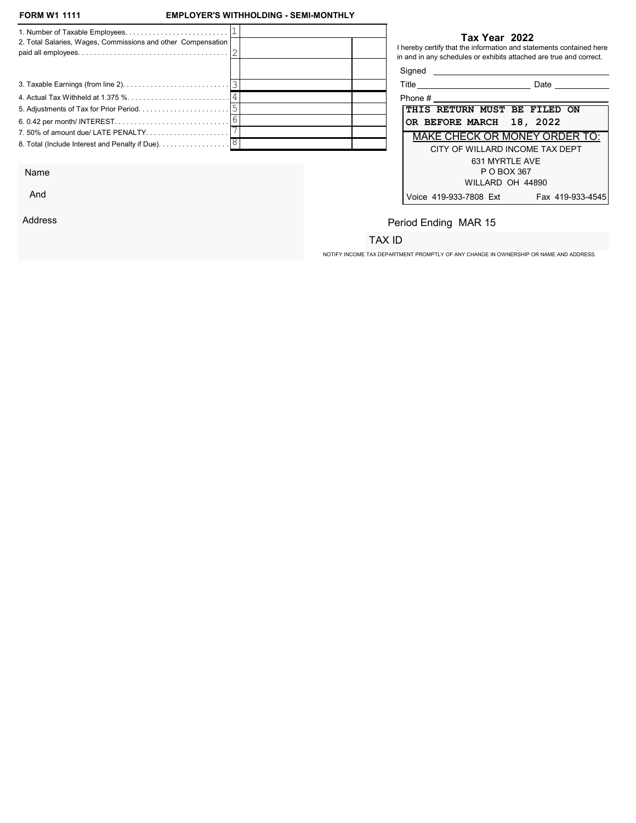## EMPLOYER'S WITHHOLDING - SEMI-MONTHLY

| 2. Total Salaries, Wages, Commissions and other Compensation                  | Tax Year 2022<br>I hereby certify that the information and statements contained here<br>in and in any schedules or exhibits attached are true and correct. |  |
|-------------------------------------------------------------------------------|------------------------------------------------------------------------------------------------------------------------------------------------------------|--|
|                                                                               | Signed<br><u> 1980 - Jan Samuel Barbara, martin da shekara 1980 - An tsara 1980 - An tsara 1980 - An tsara 1980 - An tsara</u>                             |  |
|                                                                               | Title _____________________________<br><b>Date Date</b>                                                                                                    |  |
|                                                                               |                                                                                                                                                            |  |
|                                                                               | THIS RETURN MUST BE FILED ON                                                                                                                               |  |
|                                                                               | OR BEFORE MARCH 18, 2022                                                                                                                                   |  |
| 7.50% of amount due/LATE PENALTY                                              | <b>MAKE CHECK OR MONEY ORDER TO:</b>                                                                                                                       |  |
| 8. Total (Include Interest and Penalty if Due). $\ldots \ldots \ldots \ldots$ | CITY OF WILLARD INCOME TAX DEPT<br>631 MYRTLE AVE                                                                                                          |  |

Name

And

Address

## Tax Year 2022

| Title   |                                 |             | Date |                                      |
|---------|---------------------------------|-------------|------|--------------------------------------|
| Phone # |                                 |             |      |                                      |
|         | THIS RETURN MUST BE FILED ON    |             |      |                                      |
|         | OR BEFORE MARCH 18, 2022        |             |      |                                      |
|         |                                 |             |      | <b>MAKE CHECK OR MONEY ORDER TO:</b> |
|         | CITY OF WILLARD INCOME TAX DEPT |             |      |                                      |
|         | 631 MYRTI F AVF                 |             |      |                                      |
|         |                                 | P O BOX 367 |      |                                      |
|         | WILLARD OH 44890                |             |      |                                      |
|         | Voice 419-933-7808 Ext          |             |      | Fax 419-933-4545                     |

# Period Ending MAR 15

# TAX ID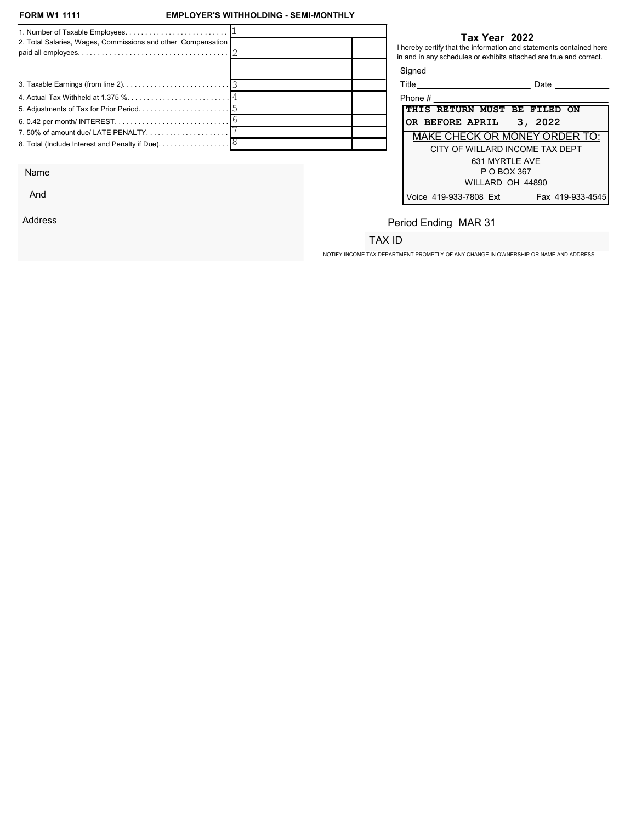## EMPLOYER'S WITHHOLDING - SEMI-MONTHLY

|                                                              |  |                                     | Tax Year 2022                                                                                                                             |
|--------------------------------------------------------------|--|-------------------------------------|-------------------------------------------------------------------------------------------------------------------------------------------|
| 2. Total Salaries, Wages, Commissions and other Compensation |  |                                     | I hereby certify that the information and statements contained here<br>in and in any schedules or exhibits attached are true and correct. |
|                                                              |  | Signed                              |                                                                                                                                           |
|                                                              |  | Title _____________________________ | <b>Date Date</b>                                                                                                                          |
|                                                              |  | Phone $#$                           |                                                                                                                                           |
|                                                              |  | THIS RETURN MUST BE FILED ON        |                                                                                                                                           |
|                                                              |  | OR BEFORE APRIL 3, 2022             |                                                                                                                                           |
| 7.50% of amount due/ LATE PENALTY                            |  |                                     | MAKE CHECK OR MONEY ORDER TO:                                                                                                             |
|                                                              |  |                                     | CITY OF WILLARD INCOME TAX DEPT                                                                                                           |
|                                                              |  |                                     | 631 MYRTLE AVE                                                                                                                            |

Name

And

Address

## Tax Year 2022

| Title<br>Date                              |
|--------------------------------------------|
| Phone #                                    |
| THIS RETURN MUST BE FILED ON               |
| OR BEFORE APRIL 3, 2022                    |
| <b>MAKE CHECK OR MONEY ORDER TO:</b>       |
| CITY OF WILLARD INCOME TAX DEPT            |
| 631 MYRTI F AVF                            |
| P O BOX 367                                |
| WILLARD OH 44890                           |
| Voice 419-933-7808 Ext<br>Fax 419-933-4545 |

# Period Ending MAR 31

# TAX ID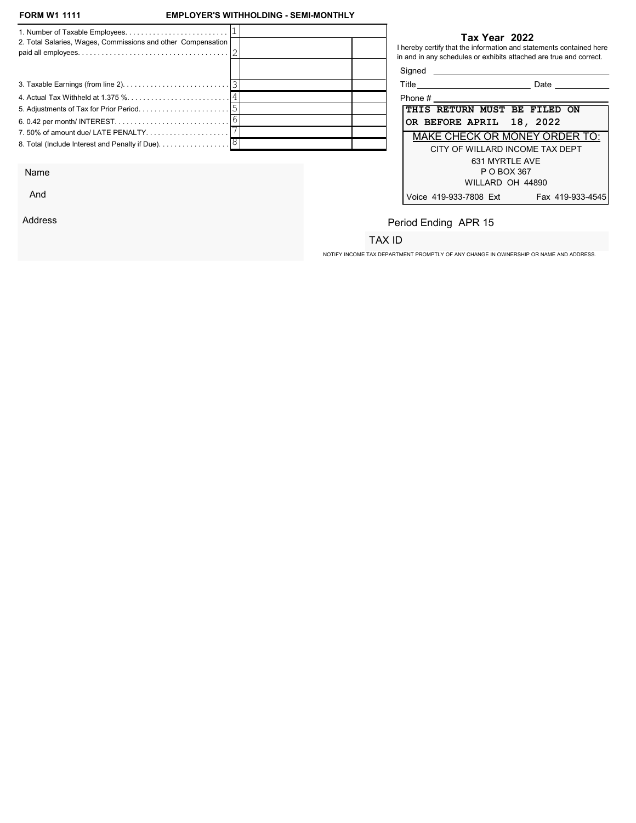And

Address

## EMPLOYER'S WITHHOLDING - SEMI-MONTHLY

| 2. Total Salaries, Wages, Commissions and other Compensation                         |  |            | Tax Year 2022<br>I hereby certify that the information and statements contained here<br>in and in any schedules or exhibits attached are true and correct. |
|--------------------------------------------------------------------------------------|--|------------|------------------------------------------------------------------------------------------------------------------------------------------------------------|
|                                                                                      |  | Signed     |                                                                                                                                                            |
|                                                                                      |  |            | Date                                                                                                                                                       |
|                                                                                      |  | Phone $\#$ |                                                                                                                                                            |
|                                                                                      |  |            | THIS RETURN MUST BE FILED ON                                                                                                                               |
|                                                                                      |  |            | OR BEFORE APRIL 18, 2022                                                                                                                                   |
| 7.50% of amount due/ LATE PENALTY                                                    |  |            | <b>MAKE CHECK OR MONEY ORDER TO:</b>                                                                                                                       |
| 8. Total (Include Interest and Penalty if Due). $\ldots \ldots \ldots \ldots \,  8 $ |  |            | CITY OF WILLARD INCOME TAX DEPT                                                                                                                            |
|                                                                                      |  |            | 631 MYRTLE AVE                                                                                                                                             |
| Name                                                                                 |  |            | P O BOX 367                                                                                                                                                |

| Title                               | Date                                 |
|-------------------------------------|--------------------------------------|
| Phone #                             |                                      |
| <b>THIS RETURN MUST BE FILED ON</b> |                                      |
| OR BEFORE APRIL 18, 2022            |                                      |
|                                     | <b>MAKE CHECK OR MONEY ORDER TO:</b> |
|                                     | CITY OF WILLARD INCOME TAX DEPT      |
|                                     | 631 MYRTI F AVF                      |
|                                     | P O BOX 367                          |
|                                     | WILLARD OH 44890                     |
| Voice 419-933-7808 Ext              | Fax 419-933-4545                     |

# Period Ending APR 15

## TAX ID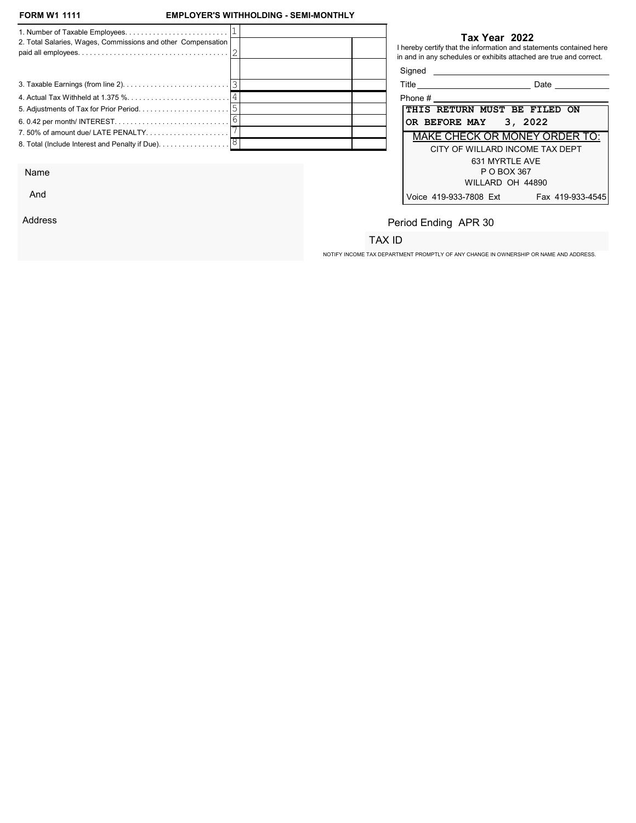And

Address

## EMPLOYER'S WITHHOLDING - SEMI-MONTHLY

| 2. Total Salaries, Wages, Commissions and other Compensation                         |  |                                     | Tax Year 2022<br>I hereby certify that the information and statements contained here<br>in and in any schedules or exhibits attached are true and correct. |
|--------------------------------------------------------------------------------------|--|-------------------------------------|------------------------------------------------------------------------------------------------------------------------------------------------------------|
|                                                                                      |  | Signed                              |                                                                                                                                                            |
|                                                                                      |  | Title _____________________________ | Date                                                                                                                                                       |
|                                                                                      |  | Phone $\#$ ______________           |                                                                                                                                                            |
|                                                                                      |  |                                     | THIS RETURN MUST BE FILED ON                                                                                                                               |
|                                                                                      |  | OR BEFORE MAY 3, 2022               |                                                                                                                                                            |
| 7.50% of amount due/ LATE PENALTY                                                    |  |                                     | <b>MAKE CHECK OR MONEY ORDER TO:</b>                                                                                                                       |
| 8. Total (Include Interest and Penalty if Due). $\ldots \ldots \ldots \ldots \,  8 $ |  |                                     | CITY OF WILLARD INCOME TAX DEPT                                                                                                                            |
|                                                                                      |  |                                     | 631 MYRTLE AVE                                                                                                                                             |
| Name                                                                                 |  |                                     | P O BOX 367                                                                                                                                                |

| Title<br>Date                              |
|--------------------------------------------|
| Phone #                                    |
| THIS RETURN MUST BE FILED ON               |
| OR BEFORE MAY 3, 2022                      |
| <b>MAKE CHECK OR MONEY ORDER TO:</b>       |
| CITY OF WILLARD INCOME TAX DEPT            |
| 631 MYRTI F AVF                            |
| P O BOX 367                                |
| WILLARD OH 44890                           |
| Voice 419-933-7808 Ext<br>Fax 419-933-4545 |

# Period Ending APR 30

## TAX ID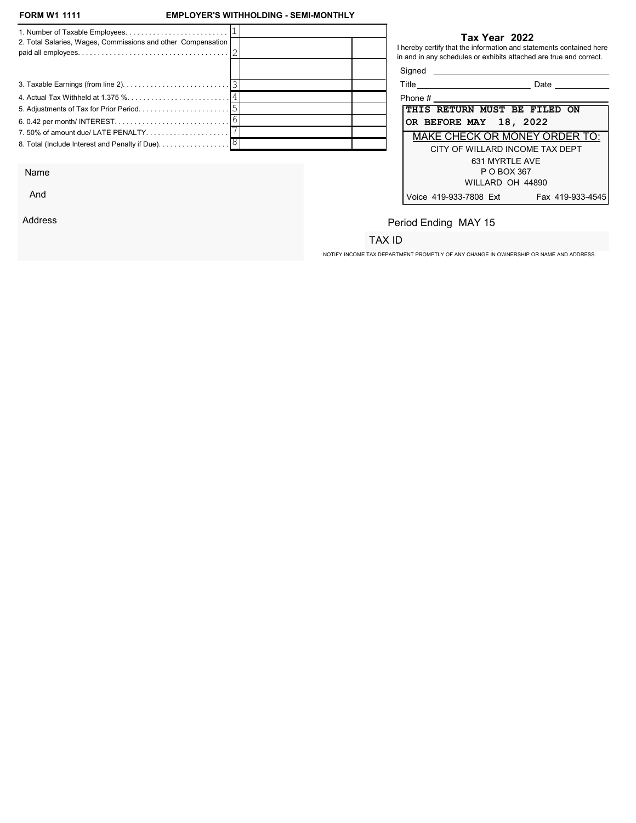And

Address

## EMPLOYER'S WITHHOLDING - SEMI-MONTHLY

| 2. Total Salaries, Wages, Commissions and other Compensation                         |  |                                    | Tax Year 2022<br>I hereby certify that the information and statements contained here<br>in and in any schedules or exhibits attached are true and correct. |
|--------------------------------------------------------------------------------------|--|------------------------------------|------------------------------------------------------------------------------------------------------------------------------------------------------------|
|                                                                                      |  | Signed                             |                                                                                                                                                            |
|                                                                                      |  | Title ____________________________ | Date                                                                                                                                                       |
|                                                                                      |  | Phone $\#$                         |                                                                                                                                                            |
|                                                                                      |  |                                    | THIS RETURN MUST BE FILED ON                                                                                                                               |
|                                                                                      |  |                                    | OR BEFORE MAY 18, 2022                                                                                                                                     |
| 7.50% of amount due/ LATE PENALTY                                                    |  |                                    | <b>MAKE CHECK OR MONEY ORDER TO:</b>                                                                                                                       |
| 8. Total (Include Interest and Penalty if Due). $\ldots \ldots \ldots \ldots \,  8 $ |  |                                    | CITY OF WILLARD INCOME TAX DEPT                                                                                                                            |
|                                                                                      |  |                                    | 631 MYRTLE AVE                                                                                                                                             |
| Name                                                                                 |  |                                    | P O BOX 367                                                                                                                                                |

| Title                                | Date             |
|--------------------------------------|------------------|
| Phone #                              |                  |
| THIS RETURN MUST BE FILED ON         |                  |
| OR BEFORE MAY 18, 2022               |                  |
| <b>MAKE CHECK OR MONEY ORDER TO:</b> |                  |
| CITY OF WILLARD INCOME TAX DEPT      |                  |
| 631 MYRTI F AVF                      |                  |
| P O BOX 367                          |                  |
| WILLARD OH 44890                     |                  |
| Voice 419-933-7808 Ext               | Fax 419-933-4545 |

# Period Ending MAY 15

## TAX ID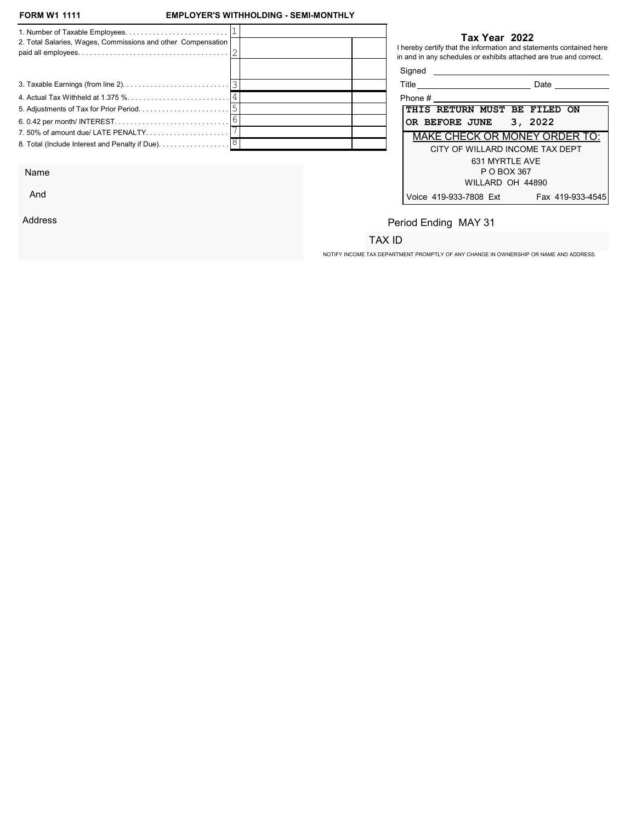## EMPLOYER'S WITHHOLDING - SEMI-MONTHLY

|                                                              |  |                                     | Tax Year 2022  |                                                                                                                                           |  |
|--------------------------------------------------------------|--|-------------------------------------|----------------|-------------------------------------------------------------------------------------------------------------------------------------------|--|
| 2. Total Salaries, Wages, Commissions and other Compensation |  |                                     |                | I hereby certify that the information and statements contained here<br>in and in any schedules or exhibits attached are true and correct. |  |
|                                                              |  | Signed                              |                |                                                                                                                                           |  |
|                                                              |  | Title _____________________________ |                | <b>Date Date</b>                                                                                                                          |  |
|                                                              |  |                                     |                | Phone $#$                                                                                                                                 |  |
|                                                              |  |                                     |                | THIS RETURN MUST BE FILED ON                                                                                                              |  |
|                                                              |  | OR BEFORE JUNE 3, 2022              |                |                                                                                                                                           |  |
| 7.50% of amount due/ LATE PENALTY                            |  |                                     |                | MAKE CHECK OR MONEY ORDER TO:                                                                                                             |  |
|                                                              |  |                                     |                | CITY OF WILLARD INCOME TAX DEPT                                                                                                           |  |
|                                                              |  |                                     | 631 MYRTLE AVE |                                                                                                                                           |  |

Name

And

Address

#### Tax Year 2022

| Title                                | Date             |
|--------------------------------------|------------------|
| Phone #                              |                  |
| THIS RETURN MUST BE FILED ON         |                  |
| OR BEFORE JUNE 3, 2022               |                  |
| <b>MAKE CHECK OR MONEY ORDER TO:</b> |                  |
| CITY OF WILLARD INCOME TAX DEPT      |                  |
| 631 MYRTLE AVE                       |                  |
| P O BOX 367                          |                  |
| WILLARD OH 44890                     |                  |
| Voice 419-933-7808 Ext               | Fax 419-933-4545 |

# Period Ending MAY 31

## TAX ID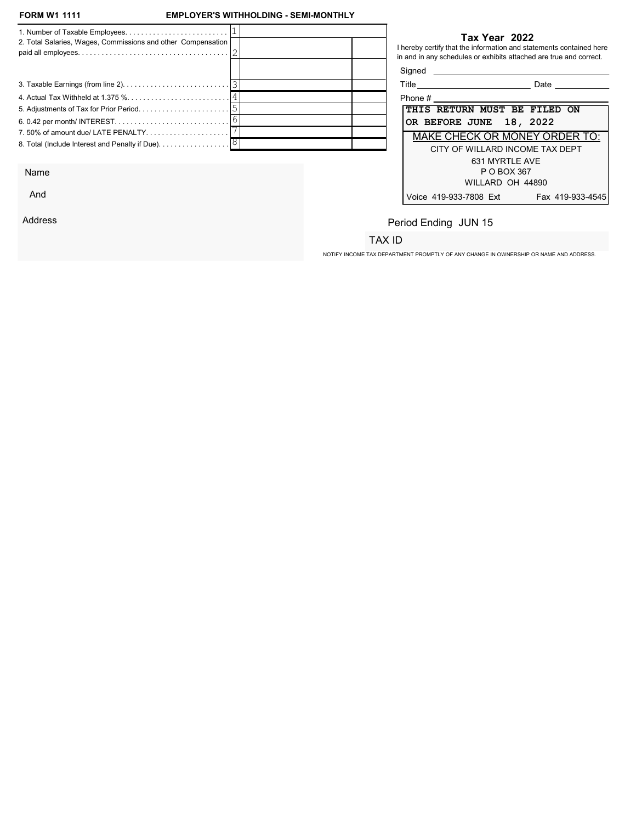And

Address

## EMPLOYER'S WITHHOLDING - SEMI-MONTHLY

| 2. Total Salaries, Wages, Commissions and other Compensation |  |         | Tax Year 2022<br>I hereby certify that the information and statements contained here<br>in and in any schedules or exhibits attached are true and correct. |
|--------------------------------------------------------------|--|---------|------------------------------------------------------------------------------------------------------------------------------------------------------------|
|                                                              |  | Signed  |                                                                                                                                                            |
|                                                              |  |         | Date                                                                                                                                                       |
|                                                              |  | Phone # |                                                                                                                                                            |
|                                                              |  |         | THIS RETURN MUST BE FILED ON                                                                                                                               |
|                                                              |  |         | OR BEFORE JUNE 18, 2022                                                                                                                                    |
| 7.50% of amount due/ LATE PENALTY                            |  |         | <b>MAKE CHECK OR MONEY ORDER TO:</b>                                                                                                                       |
|                                                              |  |         | CITY OF WILLARD INCOME TAX DEPT                                                                                                                            |
|                                                              |  |         | 631 MYRTLE AVE                                                                                                                                             |
| Name                                                         |  |         | P O BOX 367                                                                                                                                                |

| Title                               | Date                                 |
|-------------------------------------|--------------------------------------|
| Phone #                             |                                      |
| <b>THIS RETURN MUST BE FILED ON</b> |                                      |
| OR BEFORE JUNE 18, 2022             |                                      |
|                                     | <b>MAKE CHECK OR MONEY ORDER TO:</b> |
|                                     | CITY OF WILLARD INCOME TAX DEPT      |
|                                     | 631 MYRTLE AVE                       |
|                                     | P O BOX 367                          |
|                                     | WILLARD OH 44890                     |
| Voice 419-933-7808 Ext              | Fax 419-933-4545                     |

# Period Ending JUN 15

# TAX ID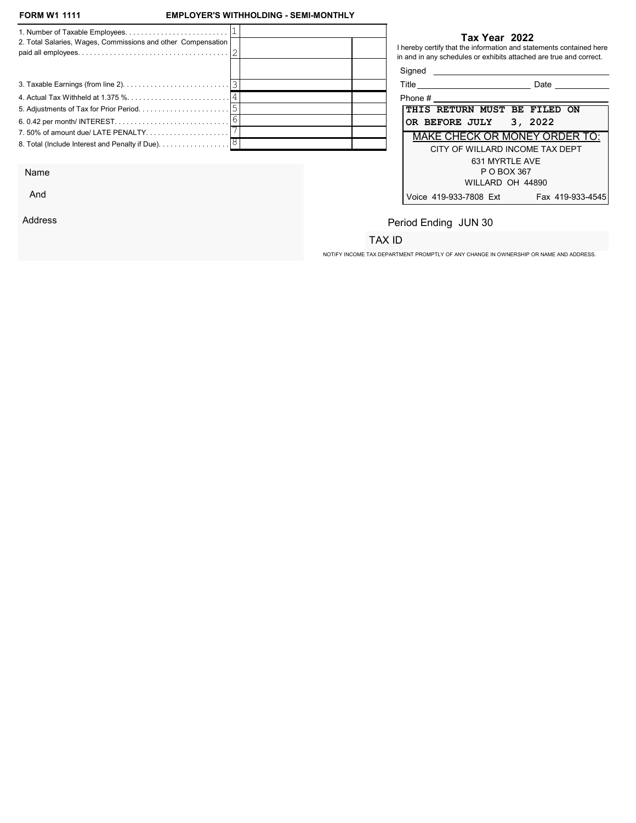Name

And

Address

## EMPLOYER'S WITHHOLDING - SEMI-MONTHLY

|                                                              |  | Tax Year 2022                                                                                                                             |
|--------------------------------------------------------------|--|-------------------------------------------------------------------------------------------------------------------------------------------|
| 2. Total Salaries, Wages, Commissions and other Compensation |  | I hereby certify that the information and statements contained here<br>in and in any schedules or exhibits attached are true and correct. |
|                                                              |  | Signed                                                                                                                                    |
|                                                              |  | Title ______________________________<br><b>Date Date</b>                                                                                  |
|                                                              |  | $\mathsf{Phone}~\#$                                                                                                                       |
|                                                              |  | THIS RETURN MUST BE FILED ON                                                                                                              |
|                                                              |  | OR BEFORE JULY 3, 2022                                                                                                                    |
| 7.50% of amount due/LATE PENALTY                             |  | MAKE CHECK OR MONEY ORDER TO:                                                                                                             |
|                                                              |  | CITY OF WILLARD INCOME TAX DEPT                                                                                                           |
|                                                              |  | 631 MYRTLE AVE                                                                                                                            |

## Tax Year 2022

| Title<br>Date                              |
|--------------------------------------------|
| Phone #                                    |
| THIS RETURN MUST BE FILED ON               |
| OR BEFORE JULY 3, 2022                     |
| <b>MAKE CHECK OR MONEY ORDER TO:</b>       |
| CITY OF WILLARD INCOME TAX DEPT            |
| 631 MYRTI F AVF                            |
| P O BOX 367                                |
| WILLARD OH 44890                           |
| Voice 419-933-7808 Ext<br>Fax 419-933-4545 |

Period Ending JUN 30

# TAX ID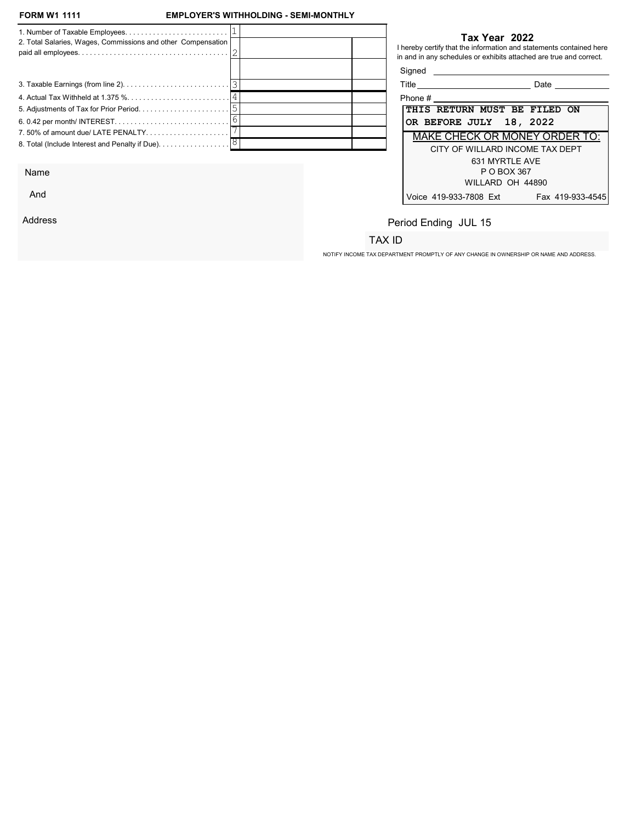And

Address

## EMPLOYER'S WITHHOLDING - SEMI-MONTHLY

| 2. Total Salaries, Wages, Commissions and other Compensation |  |                         | Tax Year 2022<br>I hereby certify that the information and statements contained here<br>in and in any schedules or exhibits attached are true and correct. |
|--------------------------------------------------------------|--|-------------------------|------------------------------------------------------------------------------------------------------------------------------------------------------------|
|                                                              |  | Signed                  |                                                                                                                                                            |
|                                                              |  |                         | Date                                                                                                                                                       |
|                                                              |  | Phone #                 |                                                                                                                                                            |
|                                                              |  |                         | THIS RETURN MUST BE FILED ON                                                                                                                               |
|                                                              |  | OR BEFORE JULY 18, 2022 |                                                                                                                                                            |
| 7.50% of amount due/ LATE PENALTY                            |  |                         | <b>MAKE CHECK OR MONEY ORDER TO:</b>                                                                                                                       |
|                                                              |  |                         | CITY OF WILLARD INCOME TAX DEPT                                                                                                                            |
|                                                              |  |                         | 631 MYRTLE AVE                                                                                                                                             |
| Name                                                         |  |                         | P O BOX 367                                                                                                                                                |

| Title                               |                  | Date                                 |
|-------------------------------------|------------------|--------------------------------------|
| Phone #                             |                  |                                      |
| <b>THIS RETURN MUST BE FILED ON</b> |                  |                                      |
| OR BEFORE JULY 18, 2022             |                  |                                      |
|                                     |                  | <b>MAKE CHECK OR MONEY ORDER TO:</b> |
|                                     |                  | CITY OF WILLARD INCOME TAX DEPT      |
|                                     | 631 MYRTI F AVF  |                                      |
|                                     | P O BOX 367      |                                      |
|                                     | WILLARD OH 44890 |                                      |
| Voice 419-933-7808 Ext              |                  | Fax 419-933-4545                     |

Period Ending JUL 15

## TAX ID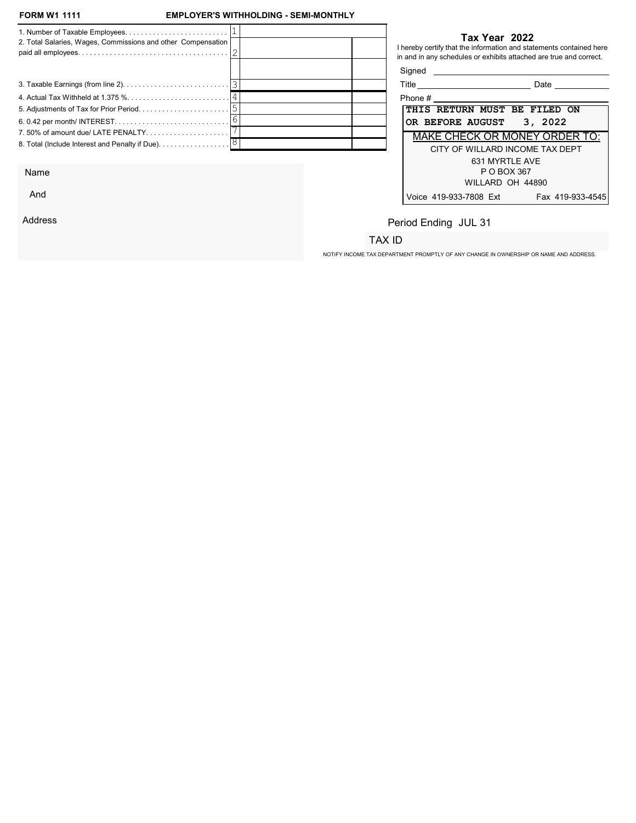## EMPLOYER'S WITHHOLDING - SEMI-MONTHLY

|                                                                               |  | Tax Year 2022                                                                                                                             |  |
|-------------------------------------------------------------------------------|--|-------------------------------------------------------------------------------------------------------------------------------------------|--|
| 2. Total Salaries, Wages, Commissions and other Compensation                  |  | I hereby certify that the information and statements contained here<br>in and in any schedules or exhibits attached are true and correct. |  |
|                                                                               |  | Signed <b>Signed</b>                                                                                                                      |  |
|                                                                               |  | Title _____________________________<br>Date                                                                                               |  |
|                                                                               |  | Phone #                                                                                                                                   |  |
|                                                                               |  | THIS RETURN MUST BE FILED ON                                                                                                              |  |
|                                                                               |  | 3, 2022<br>OR BEFORE AUGUST                                                                                                               |  |
| 7.50% of amount due/ LATE PENALTY                                             |  | <b>MAKE CHECK OR MONEY ORDER TO:</b>                                                                                                      |  |
| 8. Total (Include Interest and Penalty if Due). $\ldots \ldots \ldots \ldots$ |  | CITY OF WILLARD INCOME TAX DEPT<br>631 MYRTLE AVE                                                                                         |  |

Name

And

Address

#### Tax Year 2022

| Title                                | Date             |
|--------------------------------------|------------------|
| Phone #                              |                  |
| THIS RETURN MUST BE FILED ON         |                  |
| OR BEFORE AUGUST 3, 2022             |                  |
| <b>MAKE CHECK OR MONEY ORDER TO:</b> |                  |
| CITY OF WILLARD INCOME TAX DEPT      |                  |
| 631 MYRTLE AVE                       |                  |
| P O BOX 367                          |                  |
| WILLARD OH 44890                     |                  |
| Voice 419-933-7808 Ext               | Fax 419-933-4545 |

# Period Ending JUL 31

# TAX ID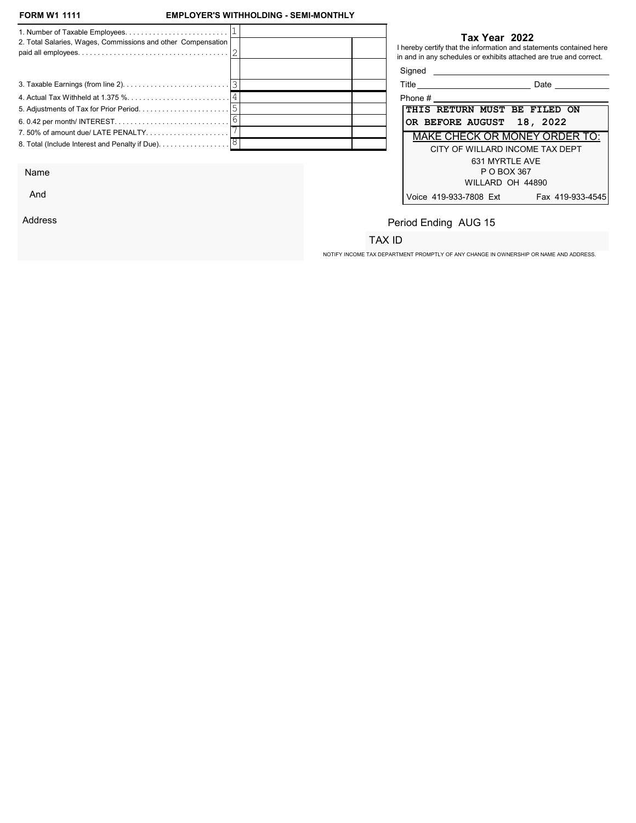And

Address

## EMPLOYER'S WITHHOLDING - SEMI-MONTHLY

| 2. Total Salaries, Wages, Commissions and other Compensation                         |  |                                    | Tax Year 2022<br>I hereby certify that the information and statements contained here<br>in and in any schedules or exhibits attached are true and correct. |
|--------------------------------------------------------------------------------------|--|------------------------------------|------------------------------------------------------------------------------------------------------------------------------------------------------------|
|                                                                                      |  | Signed                             |                                                                                                                                                            |
|                                                                                      |  | Title ____________________________ | Date                                                                                                                                                       |
|                                                                                      |  | Phone $\#$                         |                                                                                                                                                            |
|                                                                                      |  |                                    | THIS RETURN MUST BE FILED ON                                                                                                                               |
|                                                                                      |  |                                    | OR BEFORE AUGUST 18, 2022                                                                                                                                  |
| 7.50% of amount due/ LATE PENALTY                                                    |  |                                    | <b>MAKE CHECK OR MONEY ORDER TO:</b>                                                                                                                       |
| 8. Total (Include Interest and Penalty if Due). $\ldots \ldots \ldots \ldots \,  8 $ |  |                                    | CITY OF WILLARD INCOME TAX DEPT                                                                                                                            |
|                                                                                      |  |                                    | 631 MYRTLE AVE                                                                                                                                             |
| Name                                                                                 |  |                                    | P O BOX 367                                                                                                                                                |

| Title                                |  |  |  | Date |                  |  |  |
|--------------------------------------|--|--|--|------|------------------|--|--|
| Phone #                              |  |  |  |      |                  |  |  |
| THIS RETURN MUST BE FILED ON         |  |  |  |      |                  |  |  |
| OR BEFORE AUGUST 18, 2022            |  |  |  |      |                  |  |  |
| <b>MAKE CHECK OR MONEY ORDER TO:</b> |  |  |  |      |                  |  |  |
| CITY OF WILLARD INCOME TAX DEPT      |  |  |  |      |                  |  |  |
| 631 MYRTI F AVF                      |  |  |  |      |                  |  |  |
| P O BOX 367                          |  |  |  |      |                  |  |  |
| WILLARD OH 44890                     |  |  |  |      |                  |  |  |
| Voice 419-933-7808 Ext               |  |  |  |      | Fax 419-933-4545 |  |  |

# Period Ending AUG 15

## TAX ID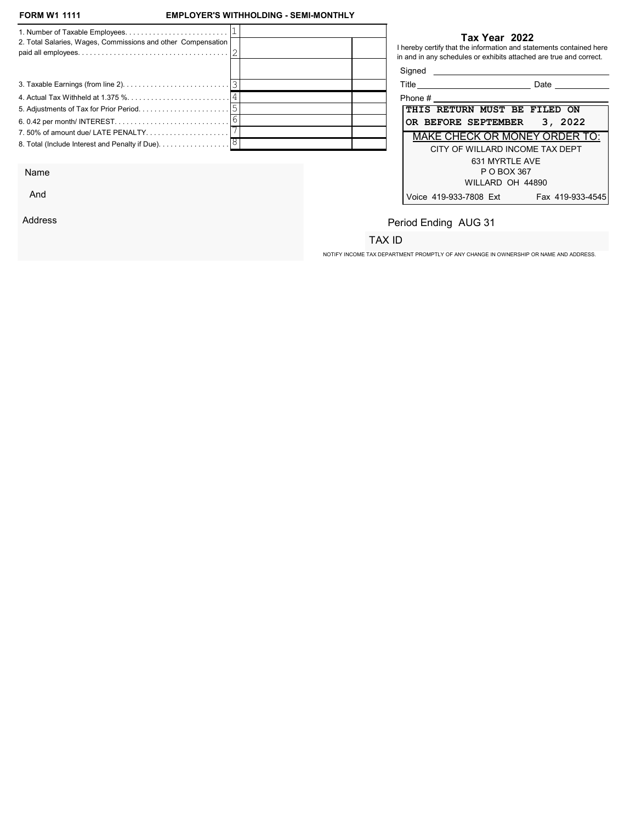And

Address

## EMPLOYER'S WITHHOLDING - SEMI-MONTHLY

| 2. Total Salaries, Wages, Commissions and other Compensation |  |                     | Tax Year 2022<br>I hereby certify that the information and statements contained here<br>in and in any schedules or exhibits attached are true and correct. |
|--------------------------------------------------------------|--|---------------------|------------------------------------------------------------------------------------------------------------------------------------------------------------|
|                                                              |  | Signed              |                                                                                                                                                            |
|                                                              |  |                     | Date                                                                                                                                                       |
|                                                              |  | Phone #             |                                                                                                                                                            |
|                                                              |  |                     | THIS RETURN MUST BE FILED ON                                                                                                                               |
|                                                              |  | OR BEFORE SEPTEMBER | 3, 2022                                                                                                                                                    |
| 7.50% of amount due/ LATE PENALTY                            |  |                     | <b>MAKE CHECK OR MONEY ORDER TO:</b>                                                                                                                       |
|                                                              |  |                     | CITY OF WILLARD INCOME TAX DEPT                                                                                                                            |
|                                                              |  |                     | 631 MYRTLE AVE                                                                                                                                             |
| Name                                                         |  |                     | P O BOX 367                                                                                                                                                |

| Title                                | Date             |  |  |  |  |  |
|--------------------------------------|------------------|--|--|--|--|--|
| Phone #                              |                  |  |  |  |  |  |
| THIS RETURN MUST BE FILED ON         |                  |  |  |  |  |  |
| OR BEFORE SEPTEMBER 3, 2022          |                  |  |  |  |  |  |
| <b>MAKE CHECK OR MONEY ORDER TO:</b> |                  |  |  |  |  |  |
| CITY OF WILLARD INCOME TAX DEPT      |                  |  |  |  |  |  |
| 631 MYRTI F AVF                      |                  |  |  |  |  |  |
| P O BOX 367                          |                  |  |  |  |  |  |
| WILLARD OH 44890                     |                  |  |  |  |  |  |
| Voice 419-933-7808 Ext               | Fax 419-933-4545 |  |  |  |  |  |

# Period Ending AUG 31

## TAX ID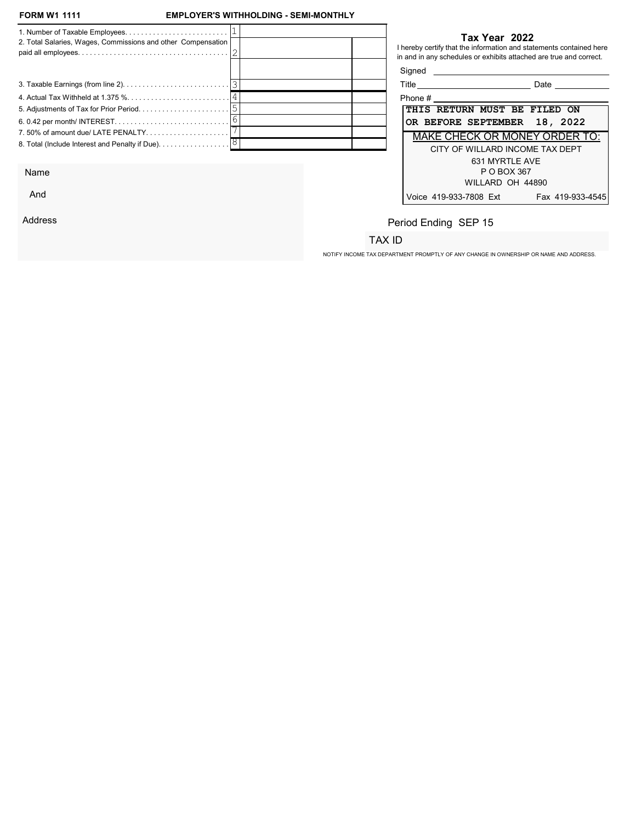## EMPLOYER'S WITHHOLDING - SEMI-MONTHLY

| 2. Total Salaries, Wages, Commissions and other Compensation                  |  | Tax Year 2022<br>I hereby certify that the information and statements contained here<br>in and in any schedules or exhibits attached are true and correct. |
|-------------------------------------------------------------------------------|--|------------------------------------------------------------------------------------------------------------------------------------------------------------|
|                                                                               |  | Signed <b>Signed</b>                                                                                                                                       |
|                                                                               |  | Title _____________________________<br>Date                                                                                                                |
|                                                                               |  |                                                                                                                                                            |
|                                                                               |  | THIS RETURN MUST BE FILED ON                                                                                                                               |
|                                                                               |  | OR BEFORE SEPTEMBER 18, 2022                                                                                                                               |
| 7.50% of amount due/ LATE PENALTY                                             |  | <b>MAKE CHECK OR MONEY ORDER TO:</b>                                                                                                                       |
| 8. Total (Include Interest and Penalty if Due). $\ldots \ldots \ldots \ldots$ |  | CITY OF WILLARD INCOME TAX DEPT<br>631 MYRTLE AVE                                                                                                          |

Name

And

Address

## Tax Year 2022

| Title<br>Date                              |  |  |  |  |  |  |  |
|--------------------------------------------|--|--|--|--|--|--|--|
| Phone #                                    |  |  |  |  |  |  |  |
| THIS RETURN MUST BE FILED ON               |  |  |  |  |  |  |  |
| OR BEFORE SEPTEMBER 18, 2022               |  |  |  |  |  |  |  |
| <b>MAKE CHECK OR MONEY ORDER TO:</b>       |  |  |  |  |  |  |  |
| CITY OF WILLARD INCOME TAX DEPT            |  |  |  |  |  |  |  |
| 631 MYRTI F AVF                            |  |  |  |  |  |  |  |
| P O BOX 367                                |  |  |  |  |  |  |  |
| WILLARD OH 44890                           |  |  |  |  |  |  |  |
| Voice 419-933-7808 Ext<br>Fax 419-933-4545 |  |  |  |  |  |  |  |

# Period Ending SEP 15

## TAX ID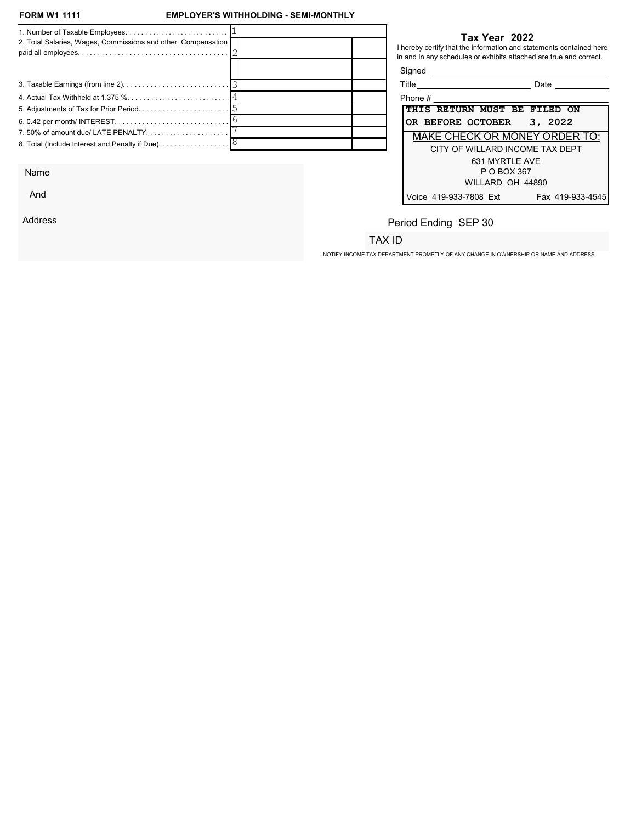And

Address

## EMPLOYER'S WITHHOLDING - SEMI-MONTHLY

| 2. Total Salaries, Wages, Commissions and other Compensation |  |           | Tax Year 2022<br>I hereby certify that the information and statements contained here<br>in and in any schedules or exhibits attached are true and correct. |
|--------------------------------------------------------------|--|-----------|------------------------------------------------------------------------------------------------------------------------------------------------------------|
|                                                              |  | Signed    |                                                                                                                                                            |
|                                                              |  |           | Title ____________________________<br>Date                                                                                                                 |
|                                                              |  | Phone $#$ |                                                                                                                                                            |
|                                                              |  |           | <b>THIS RETURN MUST BE FILED ON</b>                                                                                                                        |
|                                                              |  |           | OR BEFORE OCTOBER 3, 2022                                                                                                                                  |
|                                                              |  |           | <b>MAKE CHECK OR MONEY ORDER TO:</b>                                                                                                                       |
|                                                              |  |           | CITY OF WILLARD INCOME TAX DEPT                                                                                                                            |
|                                                              |  |           | 631 MYRTLE AVE                                                                                                                                             |
| Name                                                         |  |           | P O BOX 367                                                                                                                                                |

| Title                                | Date             |  |  |  |  |  |
|--------------------------------------|------------------|--|--|--|--|--|
| Phone #                              |                  |  |  |  |  |  |
| THIS RETURN MUST BE FILED ON         |                  |  |  |  |  |  |
| OR BEFORE OCTOBER 3, 2022            |                  |  |  |  |  |  |
| <b>MAKE CHECK OR MONEY ORDER TO:</b> |                  |  |  |  |  |  |
| CITY OF WILLARD INCOME TAX DEPT      |                  |  |  |  |  |  |
| 631 MYRTI F AVF                      |                  |  |  |  |  |  |
| P O BOX 367                          |                  |  |  |  |  |  |
| WILLARD OH 44890                     |                  |  |  |  |  |  |
| Voice 419-933-7808 Ext               | Fax 419-933-4545 |  |  |  |  |  |

# Period Ending SEP 30

# TAX ID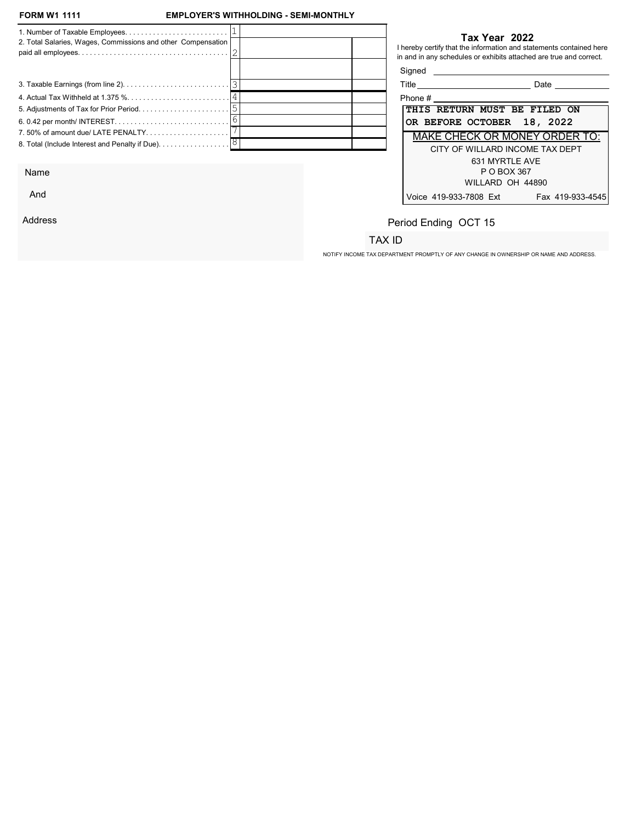And

Address

## EMPLOYER'S WITHHOLDING - SEMI-MONTHLY

| 2. Total Salaries, Wages, Commissions and other Compensation                         |  |            | Tax Year 2022<br>I hereby certify that the information and statements contained here<br>in and in any schedules or exhibits attached are true and correct. |
|--------------------------------------------------------------------------------------|--|------------|------------------------------------------------------------------------------------------------------------------------------------------------------------|
|                                                                                      |  | Signed     |                                                                                                                                                            |
|                                                                                      |  |            | Date                                                                                                                                                       |
|                                                                                      |  | Phone $\#$ |                                                                                                                                                            |
|                                                                                      |  |            | THIS RETURN MUST BE FILED ON                                                                                                                               |
|                                                                                      |  |            | OR BEFORE OCTOBER 18, 2022                                                                                                                                 |
| 7.50% of amount due/ LATE PENALTY                                                    |  |            | <b>MAKE CHECK OR MONEY ORDER TO:</b>                                                                                                                       |
| 8. Total (Include Interest and Penalty if Due). $\ldots \ldots \ldots \ldots \,  8 $ |  |            | CITY OF WILLARD INCOME TAX DEPT                                                                                                                            |
|                                                                                      |  |            | 631 MYRTLE AVE                                                                                                                                             |
| Name                                                                                 |  |            | P O BOX 367                                                                                                                                                |

| Phone #                                    |  |  |  |  |  |  |
|--------------------------------------------|--|--|--|--|--|--|
| THIS RETURN MUST BE FILED ON               |  |  |  |  |  |  |
| OR BEFORE OCTOBER 18, 2022                 |  |  |  |  |  |  |
| <b>MAKE CHECK OR MONEY ORDER TO:</b>       |  |  |  |  |  |  |
| CITY OF WILLARD INCOME TAX DEPT            |  |  |  |  |  |  |
| 631 MYRTI F AVF                            |  |  |  |  |  |  |
| P O BOX 367                                |  |  |  |  |  |  |
| WILLARD OH 44890                           |  |  |  |  |  |  |
| Voice 419-933-7808 Ext<br>Fax 419-933-4545 |  |  |  |  |  |  |

# Period Ending OCT 15

## TAX ID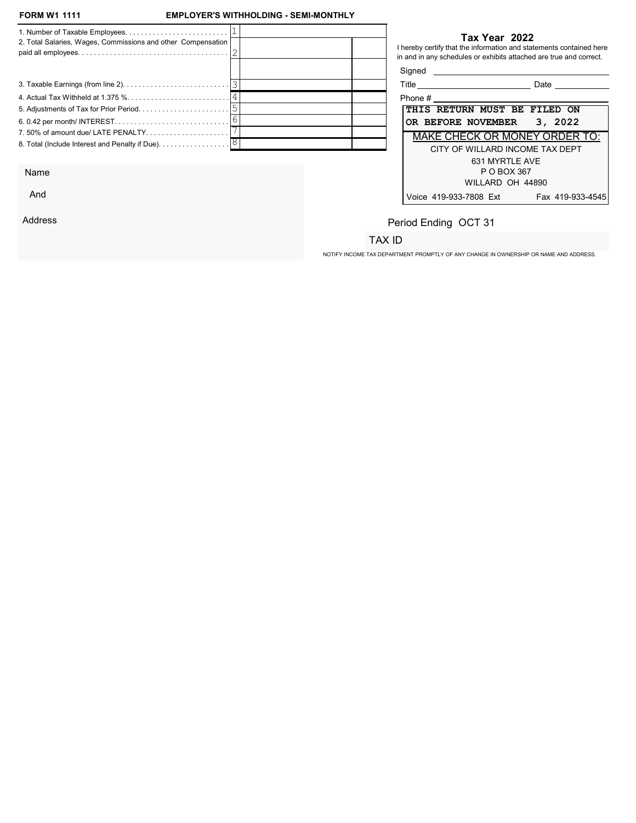And

Address

## EMPLOYER'S WITHHOLDING - SEMI-MONTHLY

| 2. Total Salaries, Wages, Commissions and other Compensation                         |  |            | Tax Year 2022<br>I hereby certify that the information and statements contained here<br>in and in any schedules or exhibits attached are true and correct. |
|--------------------------------------------------------------------------------------|--|------------|------------------------------------------------------------------------------------------------------------------------------------------------------------|
|                                                                                      |  | Signed     |                                                                                                                                                            |
|                                                                                      |  |            | Title ____________________________<br>Date                                                                                                                 |
|                                                                                      |  | Phone $\#$ |                                                                                                                                                            |
|                                                                                      |  |            | THIS RETURN MUST BE FILED ON                                                                                                                               |
|                                                                                      |  |            | 3, 2022<br>OR BEFORE NOVEMBER                                                                                                                              |
| 7.50% of amount due/ LATE PENALTY                                                    |  |            | <b>MAKE CHECK OR MONEY ORDER TO:</b>                                                                                                                       |
| 8. Total (Include Interest and Penalty if Due). $\ldots \ldots \ldots \ldots \,  8 $ |  |            | CITY OF WILLARD INCOME TAX DEPT                                                                                                                            |
|                                                                                      |  |            | 631 MYRTLE AVE                                                                                                                                             |
| Name                                                                                 |  |            | P O BOX 367                                                                                                                                                |

| Phone #                                 |  |
|-----------------------------------------|--|
| THIS RETURN MUST BE FILED ON            |  |
| OR BEFORE NOVEMBER 3, 2022              |  |
| <b>MAKE CHECK OR MONEY ORDER TO:</b>    |  |
| CITY OF WILLARD INCOME TAX DEPT         |  |
| 631 MYRTI F AVF                         |  |
| P O BOX 367                             |  |
| WILLARD OH 44890                        |  |
| Voice 419-933-7808 Ext Fax 419-933-4545 |  |
|                                         |  |

# Period Ending OCT 31

## TAX ID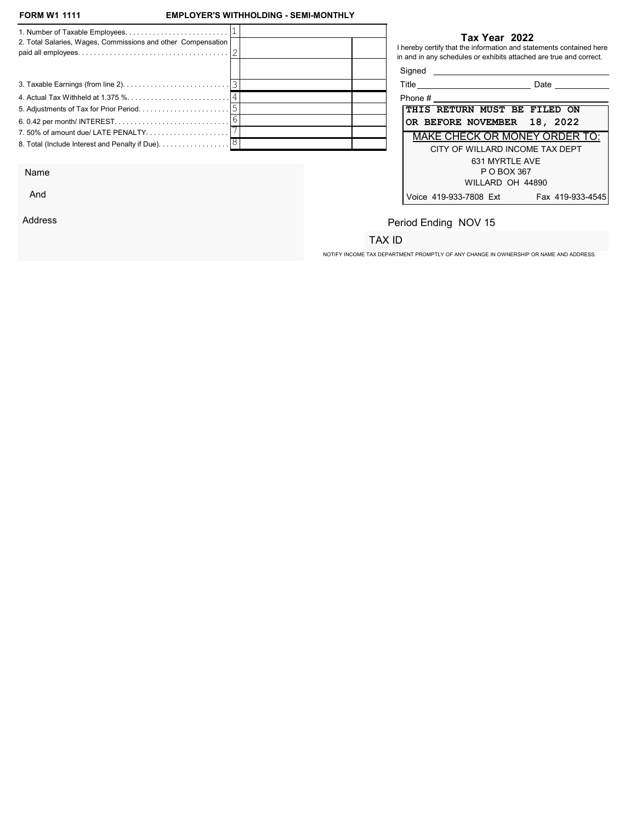And

Address

## EMPLOYER'S WITHHOLDING - SEMI-MONTHLY

| 2. Total Salaries, Wages, Commissions and other Compensation                         |  |            | Tax Year 2022<br>I hereby certify that the information and statements contained here<br>in and in any schedules or exhibits attached are true and correct. |
|--------------------------------------------------------------------------------------|--|------------|------------------------------------------------------------------------------------------------------------------------------------------------------------|
|                                                                                      |  | Signed     |                                                                                                                                                            |
|                                                                                      |  |            | Date                                                                                                                                                       |
|                                                                                      |  | Phone $\#$ |                                                                                                                                                            |
|                                                                                      |  |            | THIS RETURN MUST BE FILED ON                                                                                                                               |
|                                                                                      |  |            | OR BEFORE NOVEMBER 18, 2022                                                                                                                                |
| 7.50% of amount due/ LATE PENALTY                                                    |  |            | <b>MAKE CHECK OR MONEY ORDER TO:</b>                                                                                                                       |
| 8. Total (Include Interest and Penalty if Due). $\ldots \ldots \ldots \ldots \,  8 $ |  |            | CITY OF WILLARD INCOME TAX DEPT                                                                                                                            |
|                                                                                      |  |            | 631 MYRTLE AVE                                                                                                                                             |
| Name                                                                                 |  |            | P O BOX 367                                                                                                                                                |

| Title                        |                                 | Date                                 |
|------------------------------|---------------------------------|--------------------------------------|
| Phone #                      |                                 |                                      |
| THIS RETURN MUST BE FILED ON |                                 |                                      |
| OR BEFORE NOVEMBER 18, 2022  |                                 |                                      |
|                              |                                 | <b>MAKE CHECK OR MONEY ORDER TO:</b> |
|                              | CITY OF WILLARD INCOME TAX DEPT |                                      |
|                              | 631 MYRTI F AVF                 |                                      |
|                              | P O BOX 367                     |                                      |
|                              | WILLARD OH 44890                |                                      |
| Voice 419-933-7808 Ext       |                                 | Fax 419-933-4545                     |

# Period Ending NOV 15

## TAX ID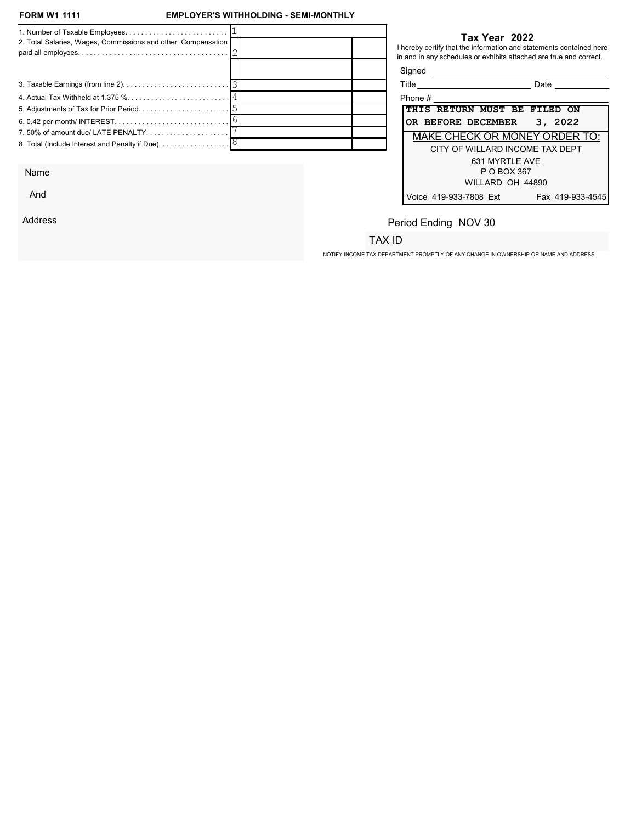And

Address

## EMPLOYER'S WITHHOLDING - SEMI-MONTHLY

| 2. Total Salaries, Wages, Commissions and other Compensation                         |  |            | Tax Year 2022<br>I hereby certify that the information and statements contained here<br>in and in any schedules or exhibits attached are true and correct. |
|--------------------------------------------------------------------------------------|--|------------|------------------------------------------------------------------------------------------------------------------------------------------------------------|
|                                                                                      |  | Signed     |                                                                                                                                                            |
|                                                                                      |  |            | Title ____________________________<br>Date                                                                                                                 |
|                                                                                      |  | Phone $\#$ |                                                                                                                                                            |
|                                                                                      |  |            | THIS RETURN MUST BE FILED ON                                                                                                                               |
|                                                                                      |  |            | 3, 2022<br>OR BEFORE DECEMBER                                                                                                                              |
| 7.50% of amount due/ LATE PENALTY                                                    |  |            | <b>MAKE CHECK OR MONEY ORDER TO:</b>                                                                                                                       |
| 8. Total (Include Interest and Penalty if Due). $\ldots \ldots \ldots \ldots \,  8 $ |  |            | CITY OF WILLARD INCOME TAX DEPT                                                                                                                            |
|                                                                                      |  |            | 631 MYRTLE AVE                                                                                                                                             |
| Name                                                                                 |  |            | P O BOX 367                                                                                                                                                |

| Title                        |                  | Date                                 |
|------------------------------|------------------|--------------------------------------|
| Phone #                      |                  |                                      |
| THIS RETURN MUST BE FILED ON |                  |                                      |
| OR BEFORE DECEMBER 3, 2022   |                  |                                      |
|                              |                  | <b>MAKE CHECK OR MONEY ORDER TO:</b> |
|                              |                  | CITY OF WILLARD INCOME TAX DEPT      |
|                              | 631 MYRTI F AVF  |                                      |
|                              | P O BOX 367      |                                      |
|                              | WILLARD OH 44890 |                                      |
| Voice 419-933-7808 Ext       |                  | Fax 419-933-4545                     |

# Period Ending NOV 30

## TAX ID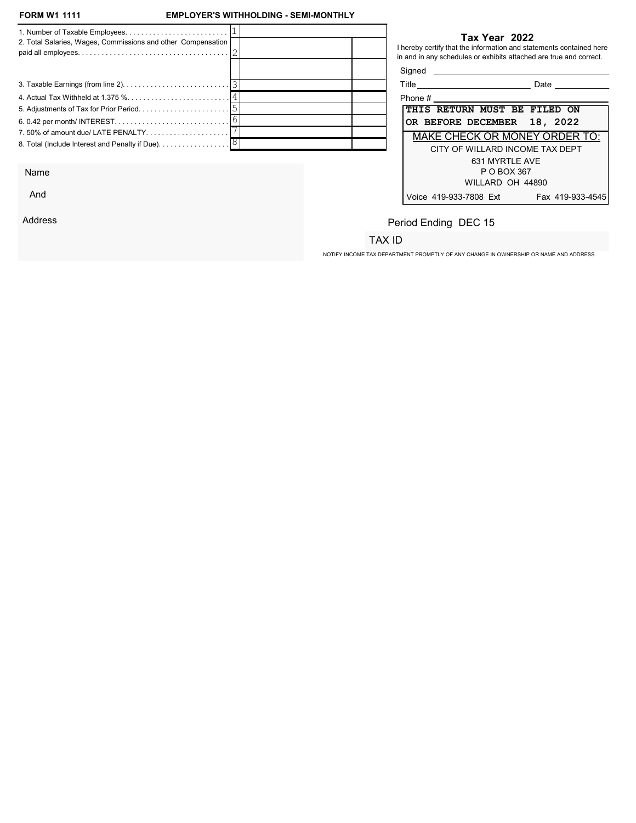And

Address

## EMPLOYER'S WITHHOLDING - SEMI-MONTHLY

| 2. Total Salaries, Wages, Commissions and other Compensation |  |         | Tax Year 2022<br>I hereby certify that the information and statements contained here<br>in and in any schedules or exhibits attached are true and correct. |
|--------------------------------------------------------------|--|---------|------------------------------------------------------------------------------------------------------------------------------------------------------------|
|                                                              |  | Signed  |                                                                                                                                                            |
|                                                              |  |         | Date                                                                                                                                                       |
|                                                              |  | Phone # |                                                                                                                                                            |
|                                                              |  |         | THIS RETURN MUST BE FILED ON                                                                                                                               |
|                                                              |  |         | OR BEFORE DECEMBER 18, 2022                                                                                                                                |
| 7.50% of amount due/ LATE PENALTY                            |  |         | <b>MAKE CHECK OR MONEY ORDER TO:</b>                                                                                                                       |
|                                                              |  |         | CITY OF WILLARD INCOME TAX DEPT                                                                                                                            |
|                                                              |  |         | 631 MYRTLE AVE                                                                                                                                             |
| Name                                                         |  |         | P O BOX 367                                                                                                                                                |

| ше<br><br>- 10 | ю |
|----------------|---|
|                |   |

| Phone #                                    |  |  |  |  |  |  |  |
|--------------------------------------------|--|--|--|--|--|--|--|
| THIS RETURN MUST BE FILED ON               |  |  |  |  |  |  |  |
| OR BEFORE DECEMBER 18, 2022                |  |  |  |  |  |  |  |
| MAKE CHECK OR MONEY ORDER TO:              |  |  |  |  |  |  |  |
| CITY OF WILLARD INCOME TAX DEPT            |  |  |  |  |  |  |  |
| 631 MYRTLE AVE                             |  |  |  |  |  |  |  |
| P O BOX 367                                |  |  |  |  |  |  |  |
| WILLARD OH 44890                           |  |  |  |  |  |  |  |
| Voice 419-933-7808 Ext<br>Fax 419-933-4545 |  |  |  |  |  |  |  |

# Period Ending DEC 15

## TAX ID